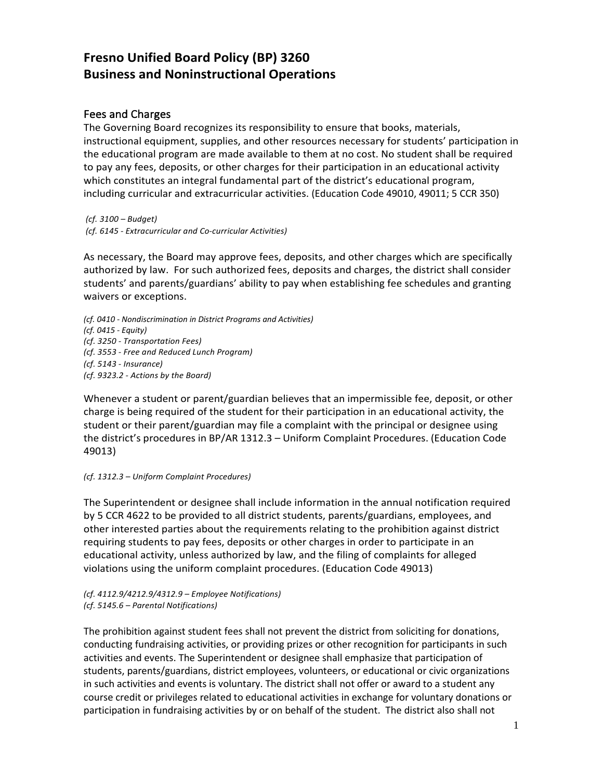# **Fresno Unified Board Policy (BP) 3260 Business and Noninstructional Operations**

# Fees and Charges

The Governing Board recognizes its responsibility to ensure that books, materials, instructional equipment, supplies, and other resources necessary for students' participation in the educational program are made available to them at no cost. No student shall be required to pay any fees, deposits, or other charges for their participation in an educational activity which constitutes an integral fundamental part of the district's educational program, including curricular and extracurricular activities. (Education Code 49010, 49011; 5 CCR 350)

*(cf. 3100 – Budget) (cf. 6145 - Extracurricular and Co-curricular Activities)*

As necessary, the Board may approve fees, deposits, and other charges which are specifically authorized by law. For such authorized fees, deposits and charges, the district shall consider students' and parents/guardians' ability to pay when establishing fee schedules and granting waivers or exceptions.

*(cf. 0410 - Nondiscrimination in District Programs and Activities) (cf. 0415 - Equity) (cf. 3250 - Transportation Fees) (cf. 3553 - Free and Reduced Lunch Program) (cf. 5143 - Insurance) (cf. 9323.2 - Actions by the Board)*

Whenever a student or parent/guardian believes that an impermissible fee, deposit, or other charge is being required of the student for their participation in an educational activity, the student or their parent/guardian may file a complaint with the principal or designee using the district's procedures in BP/AR 1312.3 – Uniform Complaint Procedures. (Education Code 49013)

### *(cf. 1312.3 – Uniform Complaint Procedures)*

The Superintendent or designee shall include information in the annual notification required by 5 CCR 4622 to be provided to all district students, parents/guardians, employees, and other interested parties about the requirements relating to the prohibition against district requiring students to pay fees, deposits or other charges in order to participate in an educational activity, unless authorized by law, and the filing of complaints for alleged violations using the uniform complaint procedures. (Education Code 49013)

#### *(cf. 4112.9/4212.9/4312.9 – Employee Notifications) (cf. 5145.6 – Parental Notifications)*

The prohibition against student fees shall not prevent the district from soliciting for donations, conducting fundraising activities, or providing prizes or other recognition for participants in such activities and events. The Superintendent or designee shall emphasize that participation of students, parents/guardians, district employees, volunteers, or educational or civic organizations in such activities and events is voluntary. The district shall not offer or award to a student any course credit or privileges related to educational activities in exchange for voluntary donations or participation in fundraising activities by or on behalf of the student. The district also shall not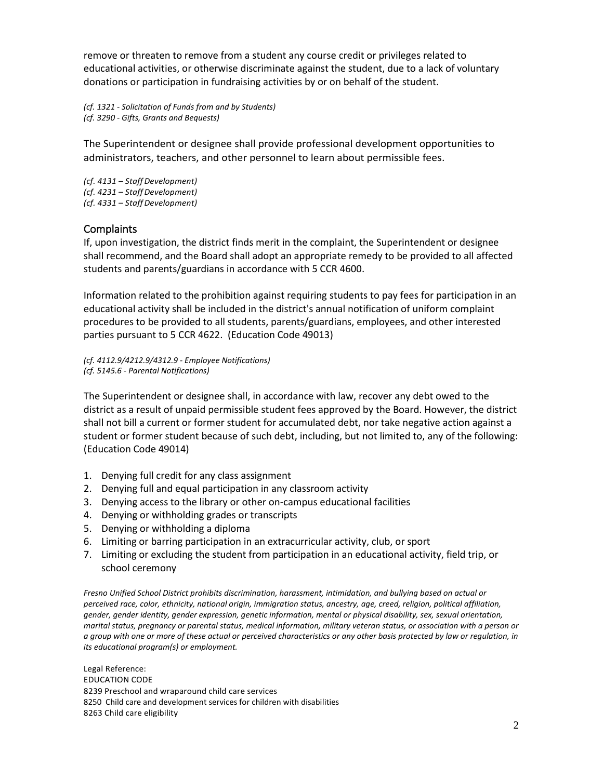remove or threaten to remove from a student any course credit or privileges related to educational activities, or otherwise discriminate against the student, due to a lack of voluntary donations or participation in fundraising activities by or on behalf of the student.

*(cf. 1321 - Solicitation of Funds from and by Students) (cf. 3290 - Gifts, Grants and Bequests)*

The Superintendent or designee shall provide professional development opportunities to administrators, teachers, and other personnel to learn about permissible fees.

*(cf. 4131 – StaffDevelopment) (cf. 4231 – StaffDevelopment) (cf. 4331 – StaffDevelopment)*

# **Complaints**

If, upon investigation, the district finds merit in the complaint, the Superintendent or designee shall recommend, and the Board shall adopt an appropriate remedy to be provided to all affected students and parents/guardians in accordance with 5 CCR 4600.

Information related to the prohibition against requiring students to pay fees for participation in an educational activity shall be included in the district's annual notification of uniform complaint procedures to be provided to all students, parents/guardians, employees, and other interested parties pursuant to 5 CCR 4622. (Education Code 49013)

*(cf. 4112.9/4212.9/4312.9 - Employee Notifications) (cf. 5145.6 - Parental Notifications)*

The Superintendent or designee shall, in accordance with law, recover any debt owed to the district as a result of unpaid permissible student fees approved by the Board. However, the district shall not bill a current or former student for accumulated debt, nor take negative action against a student or former student because of such debt, including, but not limited to, any of the following: (Education Code 49014)

- 1. Denying full credit for any class assignment
- 2. Denying full and equal participation in any classroom activity
- 3. Denying access to the library or other on-campus educational facilities
- 4. Denying or withholding grades or transcripts
- 5. Denying or withholding a diploma
- 6. Limiting or barring participation in an extracurricular activity, club, or sport
- 7. Limiting or excluding the student from participation in an educational activity, field trip, or school ceremony

*Fresno Unified School District prohibits discrimination, harassment, intimidation, and bullying based on actual or perceived race, color, ethnicity, national origin, immigration status, ancestry, age, creed, religion, political affiliation, gender, gender identity, gender expression, genetic information, mental or physical disability, sex, sexual orientation, marital status, pregnancy or parental status, medical information, military veteran status, or association with a person or a group with one or more of these actual or perceived characteristics or any other basis protected by law or regulation, in its educational program(s) or employment.*

Legal Reference: EDUCATION CODE 8239 Preschool and wraparound child care services 8250 Child care and development services for children with disabilities 8263 Child care eligibility